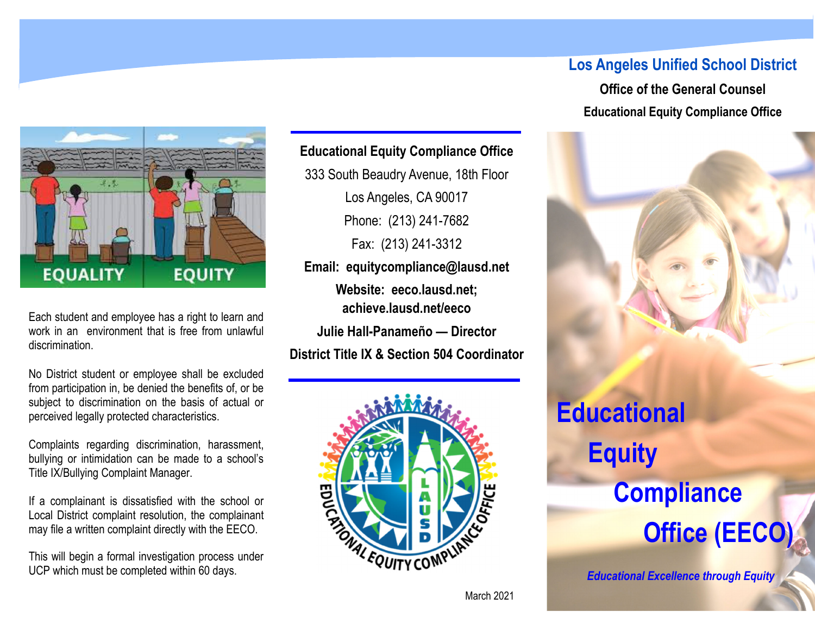# **EQUALITY EQUITY**

Each student and employee has a right to learn and work in an environment that is free from unlawful discrimination.

No District student or employee shall be excluded from participation in, be denied the benefits of, or be subject to discrimination on the basis of actual or perceived legally protected characteristics.

Complaints regarding discrimination, harassment, bullying or intimidation can be made to a school's Title IX/Bullying Complaint Manager.

If a complainant is dissatisfied with the school or Local District complaint resolution, the complainant may file a written complaint directly with the EECO.

This will begin a formal investigation process under UCP which must be completed within 60 days.

#### **Educational Equity Compliance Office**

333 South Beaudry Avenue, 18th Floor Los Angeles, CA 90017 Phone: (213) 241-7682 Fax: (213) 241-3312 **Email: equitycompliance@lausd.net Website: eeco.lausd.net; achieve.lausd.net/eeco Julie Hall-Panameño — Director District Title IX & Section 504 Coordinator** 



### **Los Angeles Unified School District**

**Office of the General Counsel Educational Equity Compliance Office** 

## **Educational Equity Compliance Office (EECO)**

*Educational Excellence through Equity*